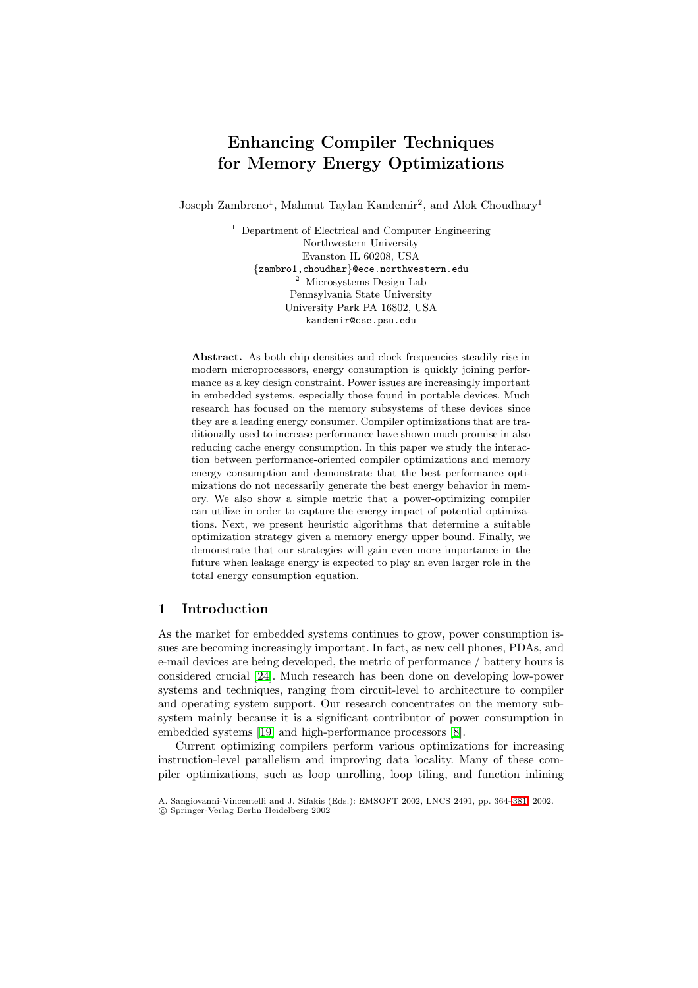# **Enhancing Compiler Techniques for Memory Energy Optimizations**

Joseph Zambreno<sup>1</sup>, Mahmut Taylan Kandemir<sup>2</sup>, and Alok Choudhary<sup>1</sup>

<sup>1</sup> Department of Electrical and Computer Engineering Northwestern University Evanston IL 60208, USA {zambro1,choudhar}@ece.northwestern.edu <sup>2</sup> Microsystems Design Lab Pennsylvania State University University Park PA 16802, USA kandemir@cse.psu.edu

Abstract. As both chip densities and clock frequencies steadily rise in modern microprocessors, energy consumption is quickly joining performance as a key design constraint. Power issues are increasingly important in embedded systems, especially those found in portable devices. Much research has focused on the memory subsystems of these devices since they are a leading energy consumer. Compiler optimizations that are traditionally used to increase performance have shown much promise in also reducing cache energy consumption. In this paper we study the interaction between performance-oriented compiler optimizations and memory energy consumption and demonstrate that the best performance optimizations do not necessarily generate the best energy behavior in memory. We also show a simple metric that a power-optimizing compiler can utilize in order to capture the energy impact of potential optimizations. Next, we present heuristic algorithms that determine a suitable optimization strategy given a memory energy upper bound. Finally, we demonstrate that our strategies will gain even more importance in the future when leakage energy is expected to play an even larger role in the total energy consumption equation.

# **1 Introduction**

As the market for embedded systems continues to grow, power consumption issues are becoming increasingly important. In fact, as new cell phones, PDAs, and e-mail devices are being developed, the metric of performance / battery hours is considered crucial [\[24\]](#page-17-0). Much research has been done on developing low-power systems and techniques, ranging from circuit-level to architecture to compiler and operating system support. Our research concentrates on the memory subsystem mainly because it is a significant contributor of power consumption in embedded systems [\[19\]](#page-17-0) and high-performance processors [\[8\]](#page-16-0).

Current optimizing compilers perform various optimizations for increasing instruction-level parallelism and improving data locality. Many of these compiler optimizations, such as loop unrolling, loop tiling, and function inlining

A. Sangiovanni-Vincentelli and J. Sifakis (Eds.): EMSOFT 2002, LNCS 2491, pp. 364[–381,](#page-17-1) 2002.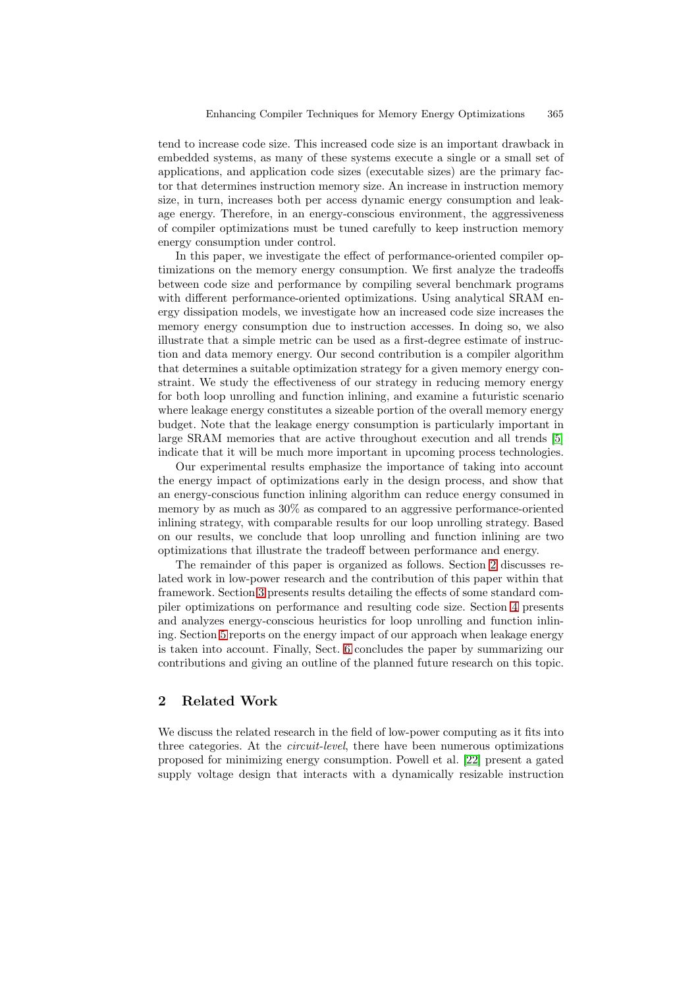tend to increase code size. This increased code size is an important drawback in embedded systems, as many of these systems execute a single or a small set of applications, and application code sizes (executable sizes) are the primary factor that determines instruction memory size. An increase in instruction memory size, in turn, increases both per access dynamic energy consumption and leakage energy. Therefore, in an energy-conscious environment, the aggressiveness of compiler optimizations must be tuned carefully to keep instruction memory energy consumption under control.

In this paper, we investigate the effect of performance-oriented compiler optimizations on the memory energy consumption. We first analyze the tradeoffs between code size and performance by compiling several benchmark programs with different performance-oriented optimizations. Using analytical SRAM energy dissipation models, we investigate how an increased code size increases the memory energy consumption due to instruction accesses. In doing so, we also illustrate that a simple metric can be used as a first-degree estimate of instruction and data memory energy. Our second contribution is a compiler algorithm that determines a suitable optimization strategy for a given memory energy constraint. We study the effectiveness of our strategy in reducing memory energy for both loop unrolling and function inlining, and examine a futuristic scenario where leakage energy constitutes a sizeable portion of the overall memory energy budget. Note that the leakage energy consumption is particularly important in large SRAM memories that are active throughout execution and all trends [\[5\]](#page-16-0) indicate that it will be much more important in upcoming process technologies.

Our experimental results emphasize the importance of taking into account the energy impact of optimizations early in the design process, and show that an energy-conscious function inlining algorithm can reduce energy consumed in memory by as much as 30% as compared to an aggressive performance-oriented inlining strategy, with comparable results for our loop unrolling strategy. Based on our results, we conclude that loop unrolling and function inlining are two optimizations that illustrate the tradeoff between performance and energy.

The remainder of this paper is organized as follows. Section 2 discusses related work in low-power research and the contribution of this paper within that framework. Section [3](#page-3-0) presents results detailing the effects of some standard compiler optimizations on performance and resulting code size. Section [4](#page-8-0) presents and analyzes energy-conscious heuristics for loop unrolling and function inlining. Section [5](#page-12-0) reports on the energy impact of our approach when leakage energy is taken into account. Finally, Sect. [6](#page-14-0) concludes the paper by summarizing our contributions and giving an outline of the planned future research on this topic.

### **2 Related Work**

We discuss the related research in the field of low-power computing as it fits into three categories. At the *circuit-level*, there have been numerous optimizations proposed for minimizing energy consumption. Powell et al. [\[22\]](#page-17-0) present a gated supply voltage design that interacts with a dynamically resizable instruction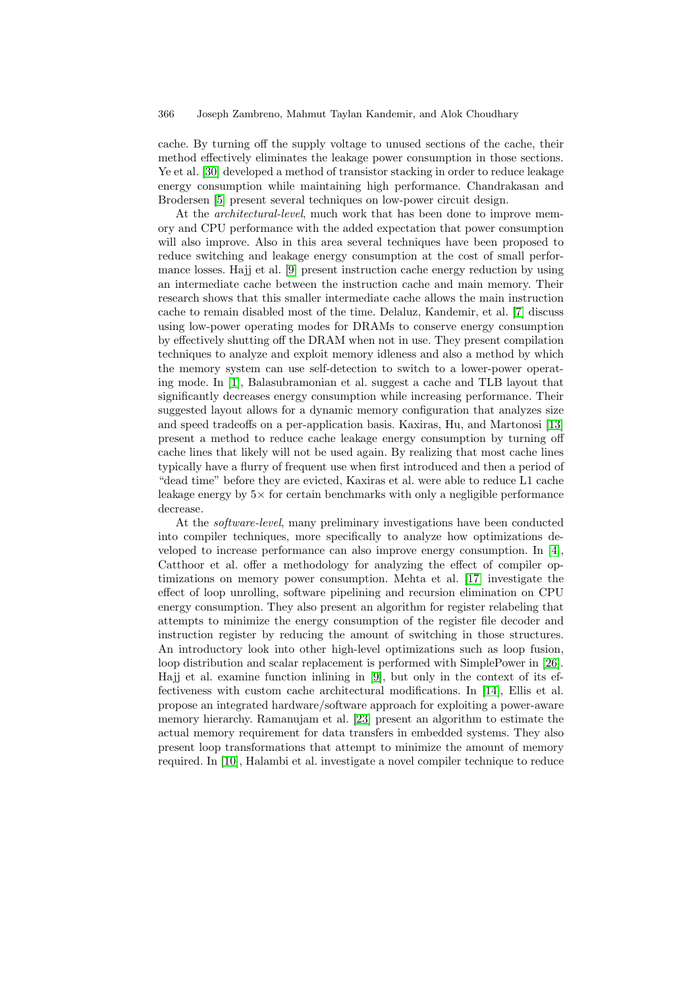cache. By turning off the supply voltage to unused sections of the cache, their method effectively eliminates the leakage power consumption in those sections. Ye et al. [\[30\]](#page-17-0) developed a method of transistor stacking in order to reduce leakage energy consumption while maintaining high performance. Chandrakasan and Brodersen [\[5\]](#page-16-0) present several techniques on low-power circuit design.

At the *architectural-level*, much work that has been done to improve memory and CPU performance with the added expectation that power consumption will also improve. Also in this area several techniques have been proposed to reduce switching and leakage energy consumption at the cost of small performance losses. Hajj et al. [\[9\]](#page-16-0) present instruction cache energy reduction by using an intermediate cache between the instruction cache and main memory. Their research shows that this smaller intermediate cache allows the main instruction cache to remain disabled most of the time. Delaluz, Kandemir, et al. [\[7\]](#page-16-0) discuss using low-power operating modes for DRAMs to conserve energy consumption by effectively shutting off the DRAM when not in use. They present compilation techniques to analyze and exploit memory idleness and also a method by which the memory system can use self-detection to switch to a lower-power operating mode. In [\[1\]](#page-16-0), Balasubramonian et al. suggest a cache and TLB layout that significantly decreases energy consumption while increasing performance. Their suggested layout allows for a dynamic memory configuration that analyzes size and speed tradeoffs on a per-application basis. Kaxiras, Hu, and Martonosi [\[13\]](#page-16-0) present a method to reduce cache leakage energy consumption by turning off cache lines that likely will not be used again. By realizing that most cache lines typically have a flurry of frequent use when first introduced and then a period of "dead time" before they are evicted, Kaxiras et al. were able to reduce L1 cache leakage energy by  $5\times$  for certain benchmarks with only a negligible performance decrease.

At the *software-level*, many preliminary investigations have been conducted into compiler techniques, more specifically to analyze how optimizations developed to increase performance can also improve energy consumption. In [\[4\]](#page-16-0), Catthoor et al. offer a methodology for analyzing the effect of compiler optimizations on memory power consumption. Mehta et al. [\[17\]](#page-17-0) investigate the effect of loop unrolling, software pipelining and recursion elimination on CPU energy consumption. They also present an algorithm for register relabeling that attempts to minimize the energy consumption of the register file decoder and instruction register by reducing the amount of switching in those structures. An introductory look into other high-level optimizations such as loop fusion, loop distribution and scalar replacement is performed with SimplePower in [\[26\]](#page-17-0). Hajj et al. examine function inlining in [\[9\]](#page-16-0), but only in the context of its effectiveness with custom cache architectural modifications. In [\[14\]](#page-16-0), Ellis et al. propose an integrated hardware/software approach for exploiting a power-aware memory hierarchy. Ramanujam et al. [\[23\]](#page-17-0) present an algorithm to estimate the actual memory requirement for data transfers in embedded systems. They also present loop transformations that attempt to minimize the amount of memory required. In [\[10\]](#page-16-0), Halambi et al. investigate a novel compiler technique to reduce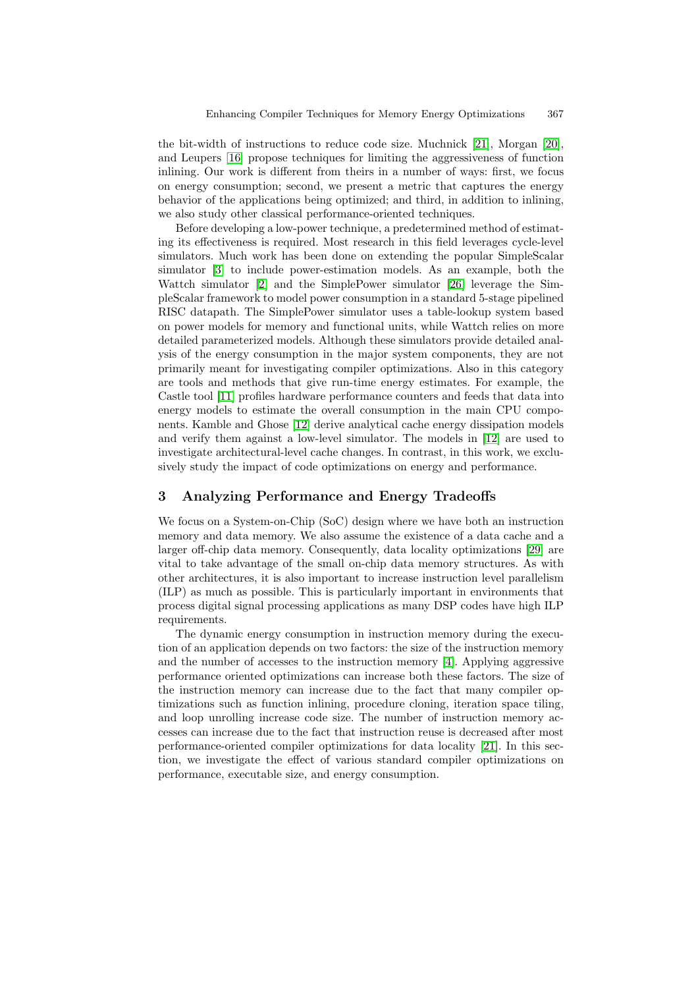<span id="page-3-0"></span>the bit-width of instructions to reduce code size. Muchnick [\[21\]](#page-17-0), Morgan [\[20\]](#page-17-0), and Leupers [\[16\]](#page-17-0) propose techniques for limiting the aggressiveness of function inlining. Our work is different from theirs in a number of ways: first, we focus on energy consumption; second, we present a metric that captures the energy behavior of the applications being optimized; and third, in addition to inlining, we also study other classical performance-oriented techniques.

Before developing a low-power technique, a predetermined method of estimating its effectiveness is required. Most research in this field leverages cycle-level simulators. Much work has been done on extending the popular SimpleScalar simulator [\[3\]](#page-16-0) to include power-estimation models. As an example, both the Wattch simulator [\[2\]](#page-16-0) and the SimplePower simulator [\[26\]](#page-17-0) leverage the SimpleScalar framework to model power consumption in a standard 5-stage pipelined RISC datapath. The SimplePower simulator uses a table-lookup system based on power models for memory and functional units, while Wattch relies on more detailed parameterized models. Although these simulators provide detailed analysis of the energy consumption in the major system components, they are not primarily meant for investigating compiler optimizations. Also in this category are tools and methods that give run-time energy estimates. For example, the Castle tool [\[11\]](#page-16-0) profiles hardware performance counters and feeds that data into energy models to estimate the overall consumption in the main CPU components. Kamble and Ghose [\[12\]](#page-16-0) derive analytical cache energy dissipation models and verify them against a low-level simulator. The models in [\[12\]](#page-16-0) are used to investigate architectural-level cache changes. In contrast, in this work, we exclusively study the impact of code optimizations on energy and performance.

# **3 Analyzing Performance and Energy Tradeoffs**

We focus on a System-on-Chip (SoC) design where we have both an instruction memory and data memory. We also assume the existence of a data cache and a larger off-chip data memory. Consequently, data locality optimizations [\[29\]](#page-17-0) are vital to take advantage of the small on-chip data memory structures. As with other architectures, it is also important to increase instruction level parallelism (ILP) as much as possible. This is particularly important in environments that process digital signal processing applications as many DSP codes have high ILP requirements.

The dynamic energy consumption in instruction memory during the execution of an application depends on two factors: the size of the instruction memory and the number of accesses to the instruction memory [\[4\]](#page-16-0). Applying aggressive performance oriented optimizations can increase both these factors. The size of the instruction memory can increase due to the fact that many compiler optimizations such as function inlining, procedure cloning, iteration space tiling, and loop unrolling increase code size. The number of instruction memory accesses can increase due to the fact that instruction reuse is decreased after most performance-oriented compiler optimizations for data locality [\[21\]](#page-17-0). In this section, we investigate the effect of various standard compiler optimizations on performance, executable size, and energy consumption.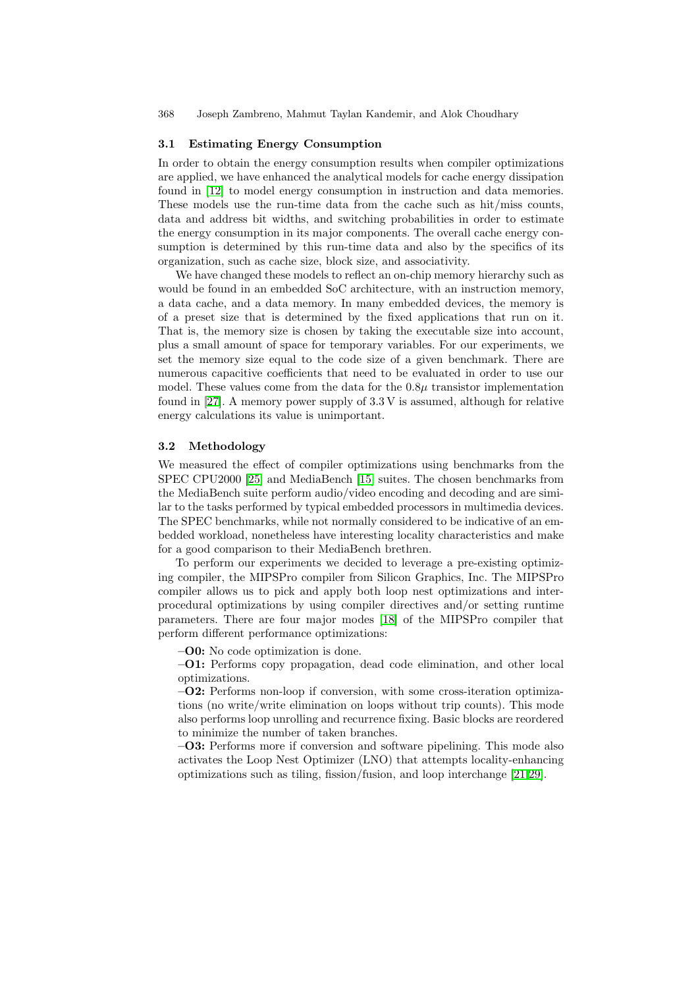#### **3.1 Estimating Energy Consumption**

In order to obtain the energy consumption results when compiler optimizations are applied, we have enhanced the analytical models for cache energy dissipation found in [\[12\]](#page-16-0) to model energy consumption in instruction and data memories. These models use the run-time data from the cache such as hit/miss counts, data and address bit widths, and switching probabilities in order to estimate the energy consumption in its major components. The overall cache energy consumption is determined by this run-time data and also by the specifics of its organization, such as cache size, block size, and associativity.

We have changed these models to reflect an on-chip memory hierarchy such as would be found in an embedded SoC architecture, with an instruction memory, a data cache, and a data memory. In many embedded devices, the memory is of a preset size that is determined by the fixed applications that run on it. That is, the memory size is chosen by taking the executable size into account, plus a small amount of space for temporary variables. For our experiments, we set the memory size equal to the code size of a given benchmark. There are numerous capacitive coefficients that need to be evaluated in order to use our model. These values come from the data for the  $0.8\mu$  transistor implementation found in [\[27\]](#page-17-0). A memory power supply of 3.3 V is assumed, although for relative energy calculations its value is unimportant.

#### **3.2 Methodology**

We measured the effect of compiler optimizations using benchmarks from the SPEC CPU2000 [\[25\]](#page-17-0) and MediaBench [\[15\]](#page-17-0) suites. The chosen benchmarks from the MediaBench suite perform audio/video encoding and decoding and are similar to the tasks performed by typical embedded processors in multimedia devices. The SPEC benchmarks, while not normally considered to be indicative of an embedded workload, nonetheless have interesting locality characteristics and make for a good comparison to their MediaBench brethren.

To perform our experiments we decided to leverage a pre-existing optimizing compiler, the MIPSPro compiler from Silicon Graphics, Inc. The MIPSPro compiler allows us to pick and apply both loop nest optimizations and interprocedural optimizations by using compiler directives and/or setting runtime parameters. There are four major modes [\[18\]](#page-17-0) of the MIPSPro compiler that perform different performance optimizations:

**–O0:** No code optimization is done.

**–O1:** Performs copy propagation, dead code elimination, and other local optimizations.

**–O2:** Performs non-loop if conversion, with some cross-iteration optimizations (no write/write elimination on loops without trip counts). This mode also performs loop unrolling and recurrence fixing. Basic blocks are reordered to minimize the number of taken branches.

**–O3:** Performs more if conversion and software pipelining. This mode also activates the Loop Nest Optimizer (LNO) that attempts locality-enhancing optimizations such as tiling, fission/fusion, and loop interchange [\[21,29\]](#page-17-0).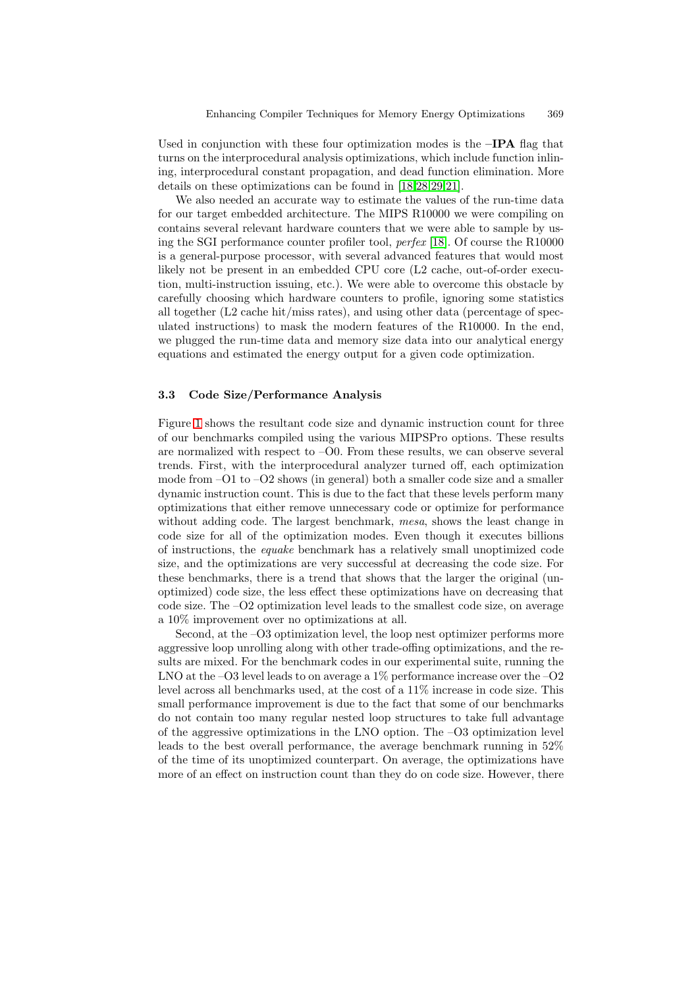Used in conjunction with these four optimization modes is the **–IPA** flag that turns on the interprocedural analysis optimizations, which include function inlining, interprocedural constant propagation, and dead function elimination. More details on these optimizations can be found in [\[18,28,29,21\]](#page-17-0).

We also needed an accurate way to estimate the values of the run-time data for our target embedded architecture. The MIPS R10000 we were compiling on contains several relevant hardware counters that we were able to sample by using the SGI performance counter profiler tool, *perfex* [\[18\]](#page-17-0). Of course the R10000 is a general-purpose processor, with several advanced features that would most likely not be present in an embedded CPU core (L2 cache, out-of-order execution, multi-instruction issuing, etc.). We were able to overcome this obstacle by carefully choosing which hardware counters to profile, ignoring some statistics all together (L2 cache hit/miss rates), and using other data (percentage of speculated instructions) to mask the modern features of the R10000. In the end, we plugged the run-time data and memory size data into our analytical energy equations and estimated the energy output for a given code optimization.

#### **3.3 Code Size/Performance Analysis**

Figure [1](#page-6-0) shows the resultant code size and dynamic instruction count for three of our benchmarks compiled using the various MIPSPro options. These results are normalized with respect to  $-00$ . From these results, we can observe several trends. First, with the interprocedural analyzer turned off, each optimization mode from  $-O1$  to  $-O2$  shows (in general) both a smaller code size and a smaller dynamic instruction count. This is due to the fact that these levels perform many optimizations that either remove unnecessary code or optimize for performance without adding code. The largest benchmark, *mesa*, shows the least change in code size for all of the optimization modes. Even though it executes billions of instructions, the *equake* benchmark has a relatively small unoptimized code size, and the optimizations are very successful at decreasing the code size. For these benchmarks, there is a trend that shows that the larger the original (unoptimized) code size, the less effect these optimizations have on decreasing that code size. The –O2 optimization level leads to the smallest code size, on average a 10% improvement over no optimizations at all.

Second, at the –O3 optimization level, the loop nest optimizer performs more aggressive loop unrolling along with other trade-offing optimizations, and the results are mixed. For the benchmark codes in our experimental suite, running the LNO at the –O3 level leads to on average a 1% performance increase over the –O2 level across all benchmarks used, at the cost of a 11% increase in code size. This small performance improvement is due to the fact that some of our benchmarks do not contain too many regular nested loop structures to take full advantage of the aggressive optimizations in the LNO option. The –O3 optimization level leads to the best overall performance, the average benchmark running in 52% of the time of its unoptimized counterpart. On average, the optimizations have more of an effect on instruction count than they do on code size. However, there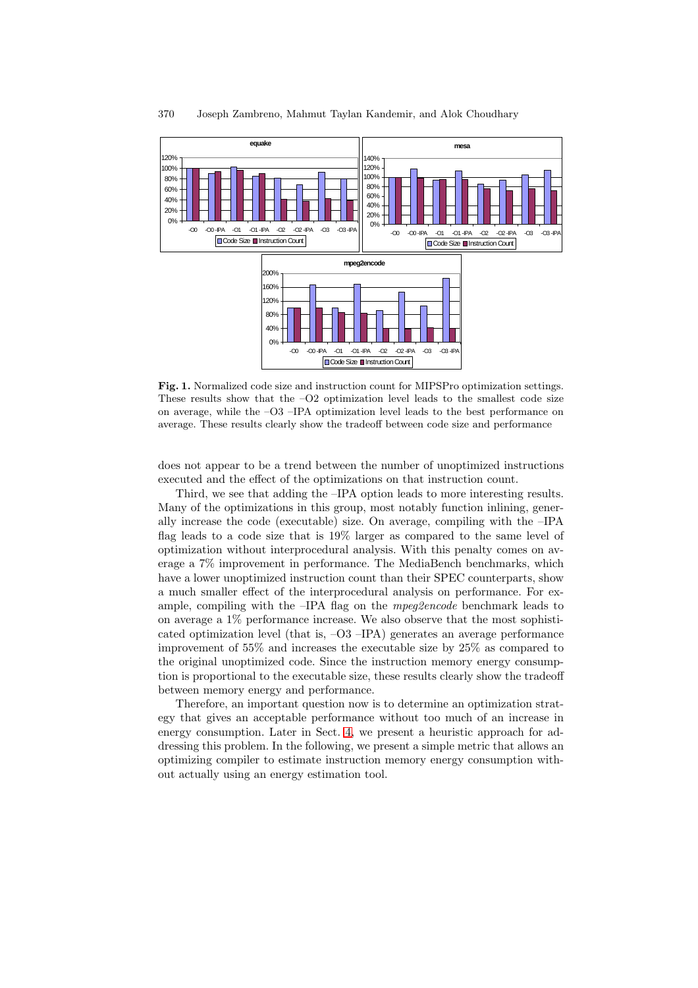<span id="page-6-0"></span>

**Fig. 1.** Normalized code size and instruction count for MIPSPro optimization settings. These results show that the  $-\text{O2}$  optimization level leads to the smallest code size on average, while the –O3 –IPA optimization level leads to the best performance on average. These results clearly show the tradeoff between code size and performance

does not appear to be a trend between the number of unoptimized instructions executed and the effect of the optimizations on that instruction count.

Third, we see that adding the –IPA option leads to more interesting results. Many of the optimizations in this group, most notably function inlining, generally increase the code (executable) size. On average, compiling with the –IPA flag leads to a code size that is 19% larger as compared to the same level of optimization without interprocedural analysis. With this penalty comes on average a 7% improvement in performance. The MediaBench benchmarks, which have a lower unoptimized instruction count than their SPEC counterparts, show a much smaller effect of the interprocedural analysis on performance. For example, compiling with the –IPA flag on the *mpeg2encode* benchmark leads to on average a 1% performance increase. We also observe that the most sophisticated optimization level (that is, –O3 –IPA) generates an average performance improvement of 55% and increases the executable size by 25% as compared to the original unoptimized code. Since the instruction memory energy consumption is proportional to the executable size, these results clearly show the tradeoff between memory energy and performance.

Therefore, an important question now is to determine an optimization strategy that gives an acceptable performance without too much of an increase in energy consumption. Later in Sect. [4,](#page-8-0) we present a heuristic approach for addressing this problem. In the following, we present a simple metric that allows an optimizing compiler to estimate instruction memory energy consumption without actually using an energy estimation tool.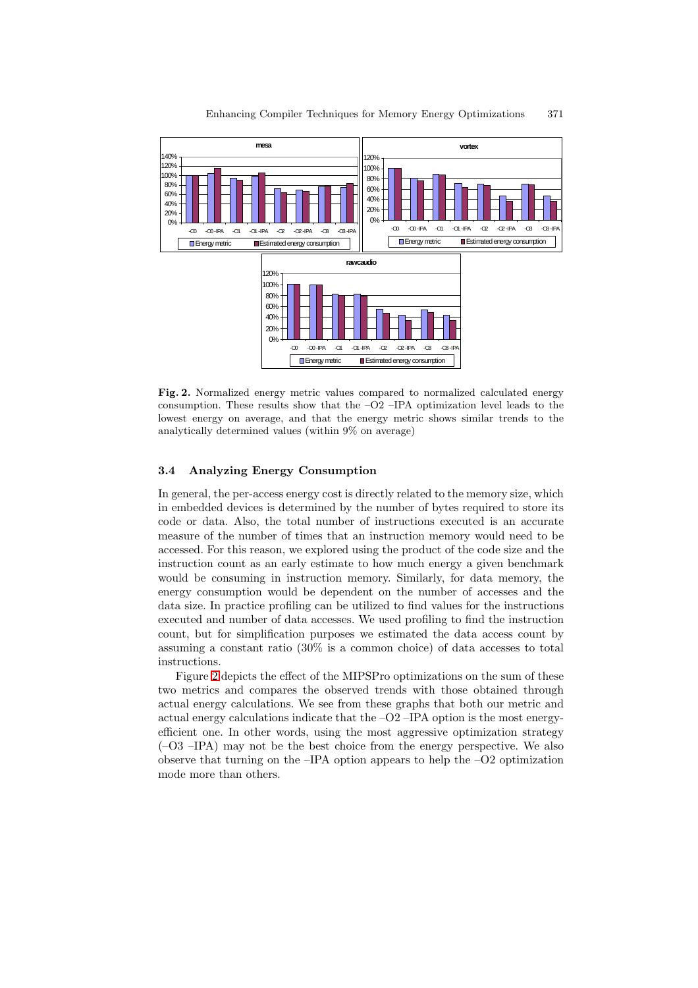<span id="page-7-0"></span>

**Fig. 2.** Normalized energy metric values compared to normalized calculated energy consumption. These results show that the  $-O2$  –IPA optimization level leads to the lowest energy on average, and that the energy metric shows similar trends to the analytically determined values (within 9% on average)

### **3.4 Analyzing Energy Consumption**

In general, the per-access energy cost is directly related to the memory size, which in embedded devices is determined by the number of bytes required to store its code or data. Also, the total number of instructions executed is an accurate measure of the number of times that an instruction memory would need to be accessed. For this reason, we explored using the product of the code size and the instruction count as an early estimate to how much energy a given benchmark would be consuming in instruction memory. Similarly, for data memory, the energy consumption would be dependent on the number of accesses and the data size. In practice profiling can be utilized to find values for the instructions executed and number of data accesses. We used profiling to find the instruction count, but for simplification purposes we estimated the data access count by assuming a constant ratio (30% is a common choice) of data accesses to total instructions.

Figure 2 depicts the effect of the MIPSPro optimizations on the sum of these two metrics and compares the observed trends with those obtained through actual energy calculations. We see from these graphs that both our metric and actual energy calculations indicate that the  $-O2$  –IPA option is the most energyefficient one. In other words, using the most aggressive optimization strategy (–O3 –IPA) may not be the best choice from the energy perspective. We also observe that turning on the –IPA option appears to help the –O2 optimization mode more than others.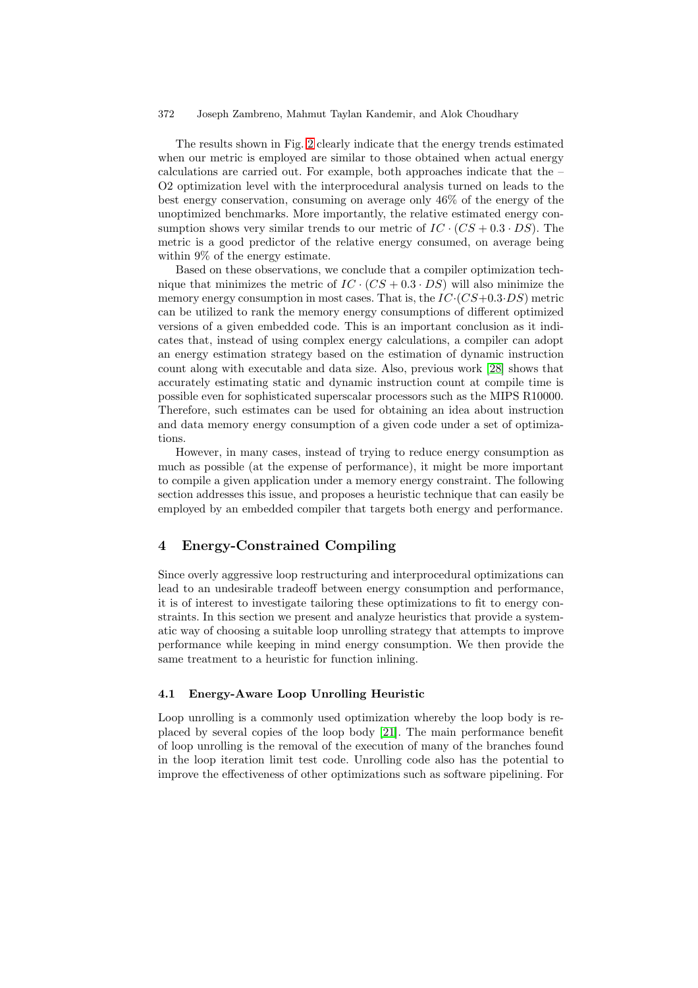<span id="page-8-0"></span>The results shown in Fig. [2](#page-7-0) clearly indicate that the energy trends estimated when our metric is employed are similar to those obtained when actual energy calculations are carried out. For example, both approaches indicate that the – O2 optimization level with the interprocedural analysis turned on leads to the best energy conservation, consuming on average only 46% of the energy of the unoptimized benchmarks. More importantly, the relative estimated energy consumption shows very similar trends to our metric of  $IC \cdot (CS + 0.3 \cdot DS)$ . The metric is a good predictor of the relative energy consumed, on average being within 9% of the energy estimate.

Based on these observations, we conclude that a compiler optimization technique that minimizes the metric of  $IC \cdot (CS + 0.3 \cdot DS)$  will also minimize the memory energy consumption in most cases. That is, the  $IC \cdot (CS+0.3 \cdot DS)$  metric can be utilized to rank the memory energy consumptions of different optimized versions of a given embedded code. This is an important conclusion as it indicates that, instead of using complex energy calculations, a compiler can adopt an energy estimation strategy based on the estimation of dynamic instruction count along with executable and data size. Also, previous work [\[28\]](#page-17-0) shows that accurately estimating static and dynamic instruction count at compile time is possible even for sophisticated superscalar processors such as the MIPS R10000. Therefore, such estimates can be used for obtaining an idea about instruction and data memory energy consumption of a given code under a set of optimizations.

However, in many cases, instead of trying to reduce energy consumption as much as possible (at the expense of performance), it might be more important to compile a given application under a memory energy constraint. The following section addresses this issue, and proposes a heuristic technique that can easily be employed by an embedded compiler that targets both energy and performance.

# **4 Energy-Constrained Compiling**

Since overly aggressive loop restructuring and interprocedural optimizations can lead to an undesirable tradeoff between energy consumption and performance, it is of interest to investigate tailoring these optimizations to fit to energy constraints. In this section we present and analyze heuristics that provide a systematic way of choosing a suitable loop unrolling strategy that attempts to improve performance while keeping in mind energy consumption. We then provide the same treatment to a heuristic for function inlining.

# **4.1 Energy-Aware Loop Unrolling Heuristic**

Loop unrolling is a commonly used optimization whereby the loop body is replaced by several copies of the loop body [\[21\]](#page-17-0). The main performance benefit of loop unrolling is the removal of the execution of many of the branches found in the loop iteration limit test code. Unrolling code also has the potential to improve the effectiveness of other optimizations such as software pipelining. For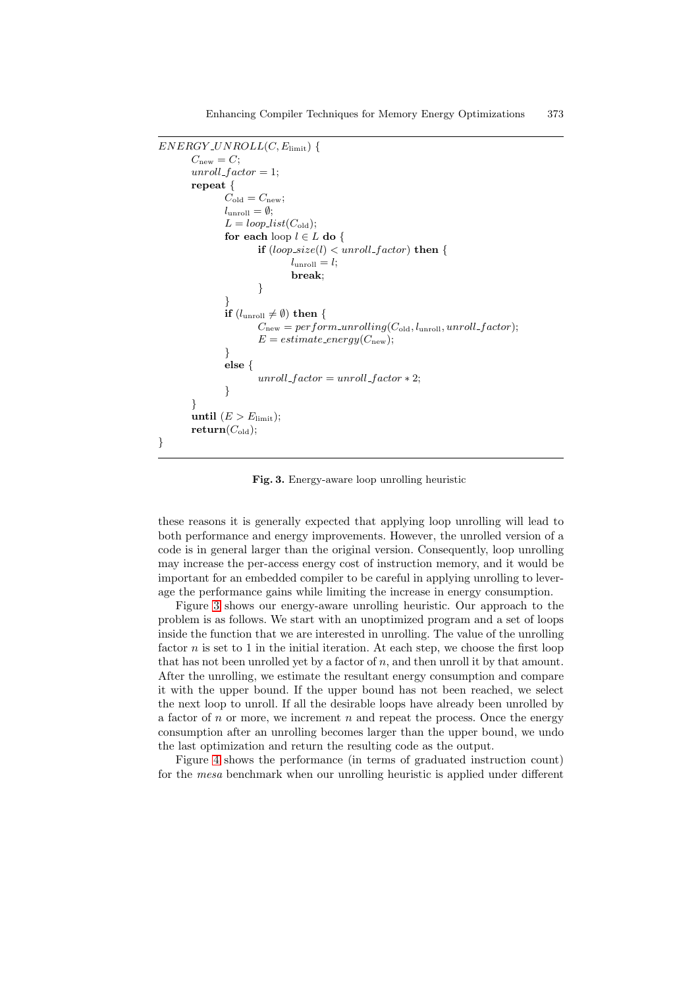```
ENERGY_UNROLL(C, E_{\text{limit}}) {
C_{\text{new}} = C;
unroll\_factor = 1;repeat {
         C_{\text{old}} = C_{\text{new}};l_{\text{unroll}} = \emptyset;L = loop\_list(C_{old});for each loop l \in L do {
                   if (loop\_size(l) < unroll\_factor) then {
                            l_{\text{unroll}} = l;
                            break;
                   }
         }
         if (l_{\text{unroll}} \neq \emptyset) then {
                   C_{\text{new}} = perform\_unrolling(C_{old}, l_{\text{unroll}}, unroll\_factor);E = estimate\_energy(C_{new});}
         else {
                   unroll_factor = unroll_factor * 2;}
}
until (E>E_{\text{limit}});return (C_{old});}
```
**Fig. 3.** Energy-aware loop unrolling heuristic

these reasons it is generally expected that applying loop unrolling will lead to both performance and energy improvements. However, the unrolled version of a code is in general larger than the original version. Consequently, loop unrolling may increase the per-access energy cost of instruction memory, and it would be important for an embedded compiler to be careful in applying unrolling to leverage the performance gains while limiting the increase in energy consumption.

Figure 3 shows our energy-aware unrolling heuristic. Our approach to the problem is as follows. We start with an unoptimized program and a set of loops inside the function that we are interested in unrolling. The value of the unrolling factor  $n$  is set to 1 in the initial iteration. At each step, we choose the first loop that has not been unrolled yet by a factor of  $n$ , and then unroll it by that amount. After the unrolling, we estimate the resultant energy consumption and compare it with the upper bound. If the upper bound has not been reached, we select the next loop to unroll. If all the desirable loops have already been unrolled by a factor of n or more, we increment n and repeat the process. Once the energy consumption after an unrolling becomes larger than the upper bound, we undo the last optimization and return the resulting code as the output.

Figure [4](#page-10-0) shows the performance (in terms of graduated instruction count) for the *mesa* benchmark when our unrolling heuristic is applied under different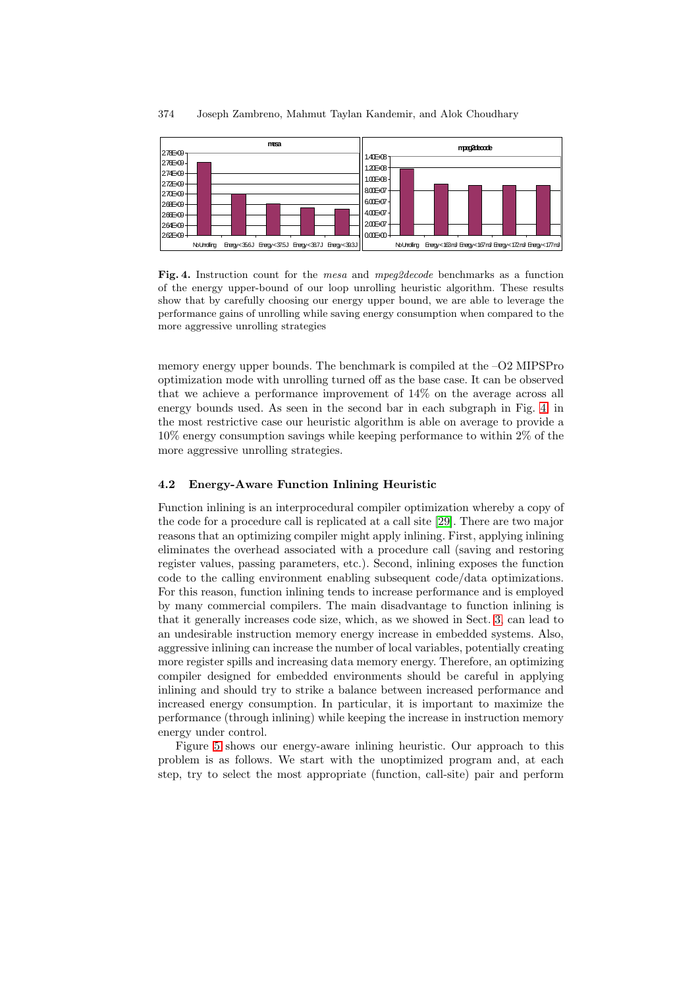<span id="page-10-0"></span>

**Fig. 4.** Instruction count for the *mesa* and *mpeg2decode* benchmarks as a function of the energy upper-bound of our loop unrolling heuristic algorithm. These results show that by carefully choosing our energy upper bound, we are able to leverage the performance gains of unrolling while saving energy consumption when compared to the more aggressive unrolling strategies

memory energy upper bounds. The benchmark is compiled at the –O2 MIPSPro optimization mode with unrolling turned off as the base case. It can be observed that we achieve a performance improvement of 14% on the average across all energy bounds used. As seen in the second bar in each subgraph in Fig. 4, in the most restrictive case our heuristic algorithm is able on average to provide a 10% energy consumption savings while keeping performance to within 2% of the more aggressive unrolling strategies.

# **4.2 Energy-Aware Function Inlining Heuristic**

Function inlining is an interprocedural compiler optimization whereby a copy of the code for a procedure call is replicated at a call site [\[29\]](#page-17-0). There are two major reasons that an optimizing compiler might apply inlining. First, applying inlining eliminates the overhead associated with a procedure call (saving and restoring register values, passing parameters, etc.). Second, inlining exposes the function code to the calling environment enabling subsequent code/data optimizations. For this reason, function inlining tends to increase performance and is employed by many commercial compilers. The main disadvantage to function inlining is that it generally increases code size, which, as we showed in Sect. [3,](#page-3-0) can lead to an undesirable instruction memory energy increase in embedded systems. Also, aggressive inlining can increase the number of local variables, potentially creating more register spills and increasing data memory energy. Therefore, an optimizing compiler designed for embedded environments should be careful in applying inlining and should try to strike a balance between increased performance and increased energy consumption. In particular, it is important to maximize the performance (through inlining) while keeping the increase in instruction memory energy under control.

Figure [5](#page-11-0) shows our energy-aware inlining heuristic. Our approach to this problem is as follows. We start with the unoptimized program and, at each step, try to select the most appropriate (function, call-site) pair and perform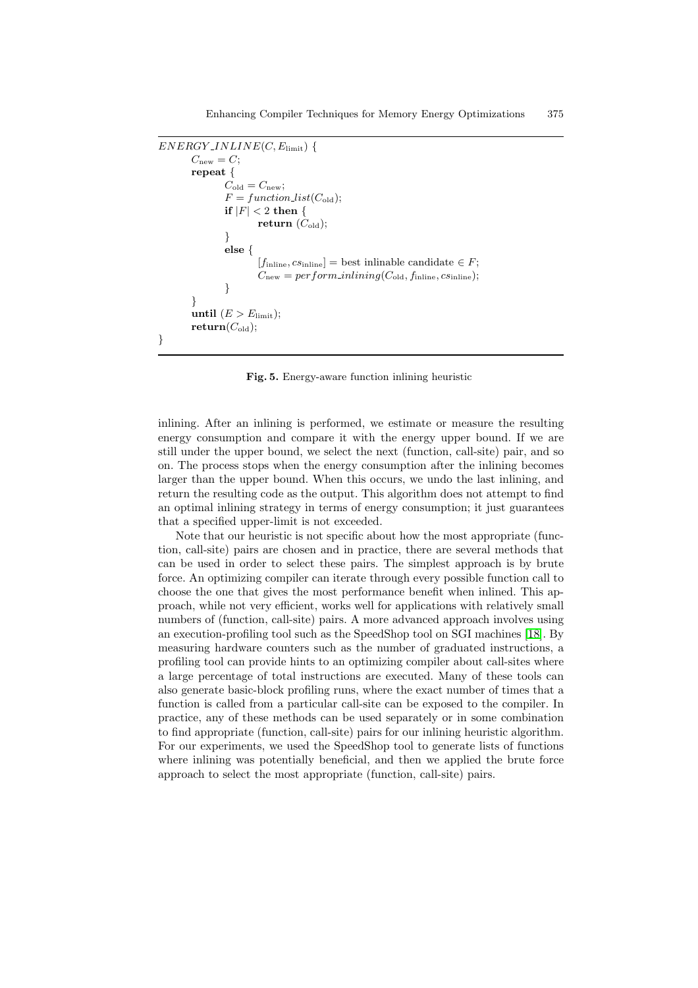```
ENERGY<sub>INLINE(C, E<sub>limit</sub>) {</sub>
C_{\text{new}} = C;
repeat {
           C_{\text{old}} = C_{\text{new}};
           F = function\_list(C_{old});if |F| < 2 then {
                     return (C_{old});
           }
           else {
                     [f_{\text{inline}}, cs_{\text{inline}}] = \text{best inlinable candidate} \in F;C_{\text{new}} = perform\_inlining(C_{old}, f_{inline}, cs_{inline});}
 }
until (E>E_{\text{limit}});return (C_{old});}
```
**Fig. 5.** Energy-aware function inlining heuristic

inlining. After an inlining is performed, we estimate or measure the resulting energy consumption and compare it with the energy upper bound. If we are still under the upper bound, we select the next (function, call-site) pair, and so on. The process stops when the energy consumption after the inlining becomes larger than the upper bound. When this occurs, we undo the last inlining, and return the resulting code as the output. This algorithm does not attempt to find an optimal inlining strategy in terms of energy consumption; it just guarantees that a specified upper-limit is not exceeded.

Note that our heuristic is not specific about how the most appropriate (function, call-site) pairs are chosen and in practice, there are several methods that can be used in order to select these pairs. The simplest approach is by brute force. An optimizing compiler can iterate through every possible function call to choose the one that gives the most performance benefit when inlined. This approach, while not very efficient, works well for applications with relatively small numbers of (function, call-site) pairs. A more advanced approach involves using an execution-profiling tool such as the SpeedShop tool on SGI machines [\[18\]](#page-17-0). By measuring hardware counters such as the number of graduated instructions, a profiling tool can provide hints to an optimizing compiler about call-sites where a large percentage of total instructions are executed. Many of these tools can also generate basic-block profiling runs, where the exact number of times that a function is called from a particular call-site can be exposed to the compiler. In practice, any of these methods can be used separately or in some combination to find appropriate (function, call-site) pairs for our inlining heuristic algorithm. For our experiments, we used the SpeedShop tool to generate lists of functions where inlining was potentially beneficial, and then we applied the brute force approach to select the most appropriate (function, call-site) pairs.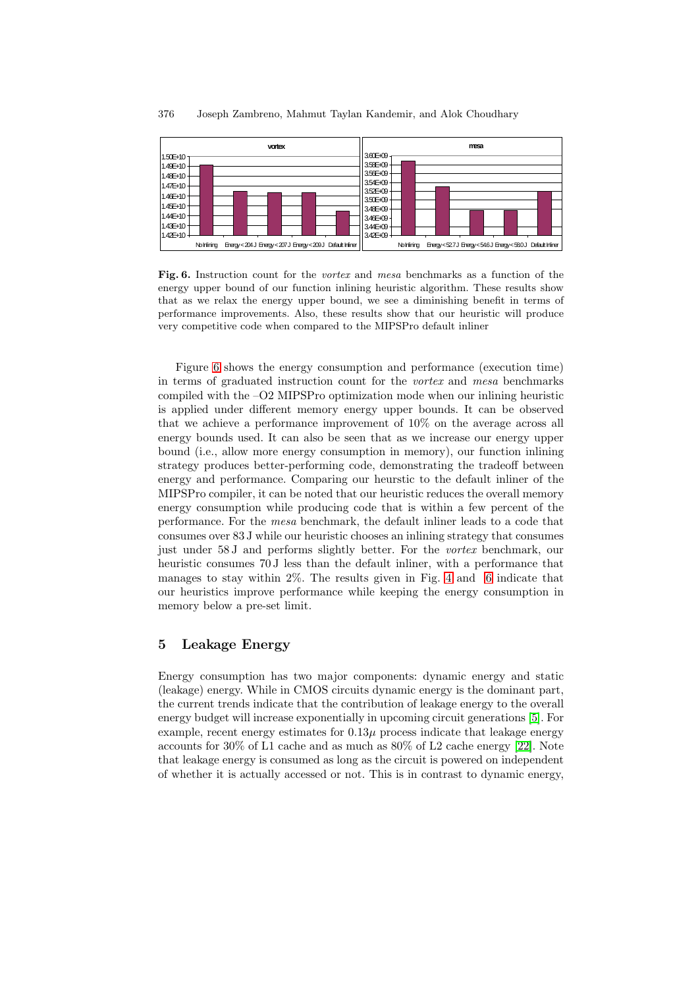<span id="page-12-0"></span>

**Fig. 6.** Instruction count for the vortex and mesa benchmarks as a function of the energy upper bound of our function inlining heuristic algorithm. These results show that as we relax the energy upper bound, we see a diminishing benefit in terms of performance improvements. Also, these results show that our heuristic will produce very competitive code when compared to the MIPSPro default inliner

Figure 6 shows the energy consumption and performance (execution time) in terms of graduated instruction count for the *vortex* and *mesa* benchmarks compiled with the –O2 MIPSPro optimization mode when our inlining heuristic is applied under different memory energy upper bounds. It can be observed that we achieve a performance improvement of 10% on the average across all energy bounds used. It can also be seen that as we increase our energy upper bound (i.e., allow more energy consumption in memory), our function inlining strategy produces better-performing code, demonstrating the tradeoff between energy and performance. Comparing our heurstic to the default inliner of the MIPSPro compiler, it can be noted that our heuristic reduces the overall memory energy consumption while producing code that is within a few percent of the performance. For the *mesa* benchmark, the default inliner leads to a code that consumes over 83 J while our heuristic chooses an inlining strategy that consumes just under 58 J and performs slightly better. For the *vortex* benchmark, our heuristic consumes 70 J less than the default inliner, with a performance that manages to stay within 2%. The results given in Fig. [4](#page-10-0) and 6 indicate that our heuristics improve performance while keeping the energy consumption in memory below a pre-set limit.

# **5 Leakage Energy**

Energy consumption has two major components: dynamic energy and static (leakage) energy. While in CMOS circuits dynamic energy is the dominant part, the current trends indicate that the contribution of leakage energy to the overall energy budget will increase exponentially in upcoming circuit generations [\[5\]](#page-16-0). For example, recent energy estimates for  $0.13\mu$  process indicate that leakage energy accounts for 30% of L1 cache and as much as 80% of L2 cache energy [\[22\]](#page-17-0). Note that leakage energy is consumed as long as the circuit is powered on independent of whether it is actually accessed or not. This is in contrast to dynamic energy,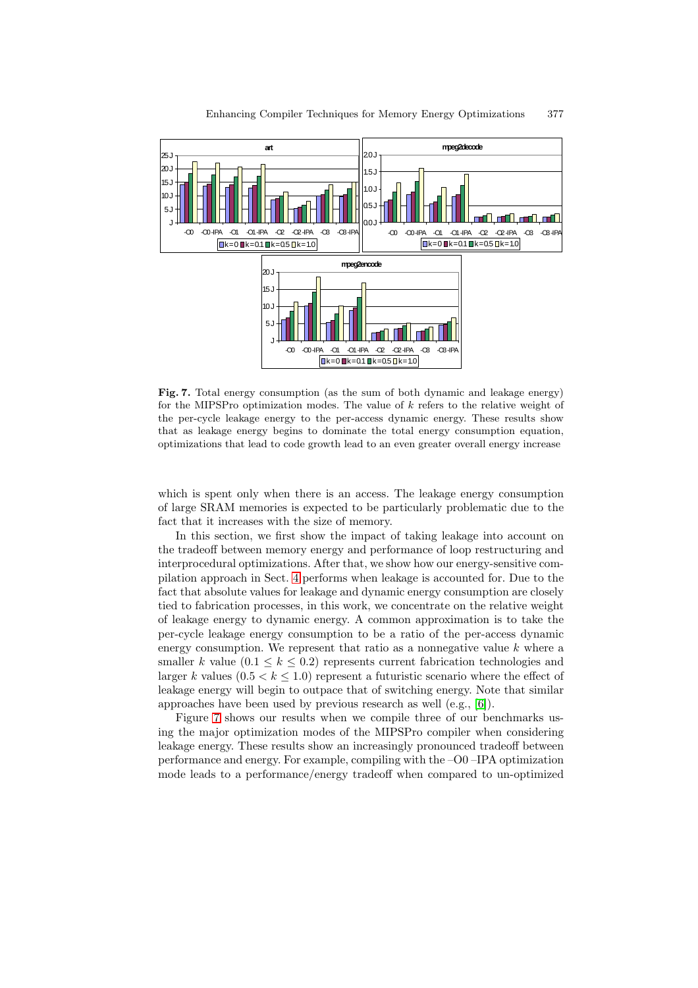

**Fig. 7.** Total energy consumption (as the sum of both dynamic and leakage energy) for the MIPSPro optimization modes. The value of  $k$  refers to the relative weight of the per-cycle leakage energy to the per-access dynamic energy. These results show that as leakage energy begins to dominate the total energy consumption equation, optimizations that lead to code growth lead to an even greater overall energy increase

which is spent only when there is an access. The leakage energy consumption of large SRAM memories is expected to be particularly problematic due to the fact that it increases with the size of memory.

In this section, we first show the impact of taking leakage into account on the tradeoff between memory energy and performance of loop restructuring and interprocedural optimizations. After that, we show how our energy-sensitive compilation approach in Sect. [4](#page-8-0) performs when leakage is accounted for. Due to the fact that absolute values for leakage and dynamic energy consumption are closely tied to fabrication processes, in this work, we concentrate on the relative weight of leakage energy to dynamic energy. A common approximation is to take the per-cycle leakage energy consumption to be a ratio of the per-access dynamic energy consumption. We represent that ratio as a nonnegative value  $k$  where a smaller k value  $(0.1 \le k \le 0.2)$  represents current fabrication technologies and larger k values  $(0.5 < k \leq 1.0)$  represent a futuristic scenario where the effect of leakage energy will begin to outpace that of switching energy. Note that similar approaches have been used by previous research as well (e.g., [\[6\]](#page-16-0)).

Figure 7 shows our results when we compile three of our benchmarks using the major optimization modes of the MIPSPro compiler when considering leakage energy. These results show an increasingly pronounced tradeoff between performance and energy. For example, compiling with the –O0 –IPA optimization mode leads to a performance/energy tradeoff when compared to un-optimized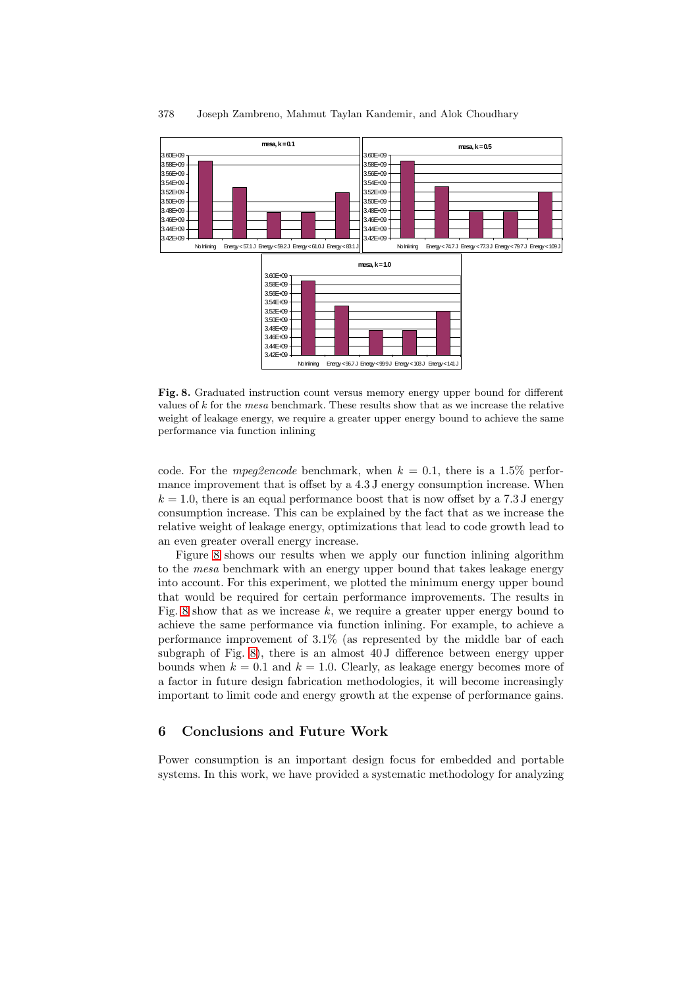<span id="page-14-0"></span>

**Fig. 8.** Graduated instruction count versus memory energy upper bound for different values of  $k$  for the mesa benchmark. These results show that as we increase the relative weight of leakage energy, we require a greater upper energy bound to achieve the same performance via function inlining

code. For the *mpeg2encode* benchmark, when  $k = 0.1$ , there is a 1.5% performance improvement that is offset by a 4.3 J energy consumption increase. When  $k = 1.0$ , there is an equal performance boost that is now offset by a 7.3 J energy consumption increase. This can be explained by the fact that as we increase the relative weight of leakage energy, optimizations that lead to code growth lead to an even greater overall energy increase.

Figure 8 shows our results when we apply our function inlining algorithm to the *mesa* benchmark with an energy upper bound that takes leakage energy into account. For this experiment, we plotted the minimum energy upper bound that would be required for certain performance improvements. The results in Fig. 8 show that as we increase  $k$ , we require a greater upper energy bound to achieve the same performance via function inlining. For example, to achieve a performance improvement of 3.1% (as represented by the middle bar of each subgraph of Fig. 8), there is an almost 40 J difference between energy upper bounds when  $k = 0.1$  and  $k = 1.0$ . Clearly, as leakage energy becomes more of a factor in future design fabrication methodologies, it will become increasingly important to limit code and energy growth at the expense of performance gains.

### **6 Conclusions and Future Work**

Power consumption is an important design focus for embedded and portable systems. In this work, we have provided a systematic methodology for analyzing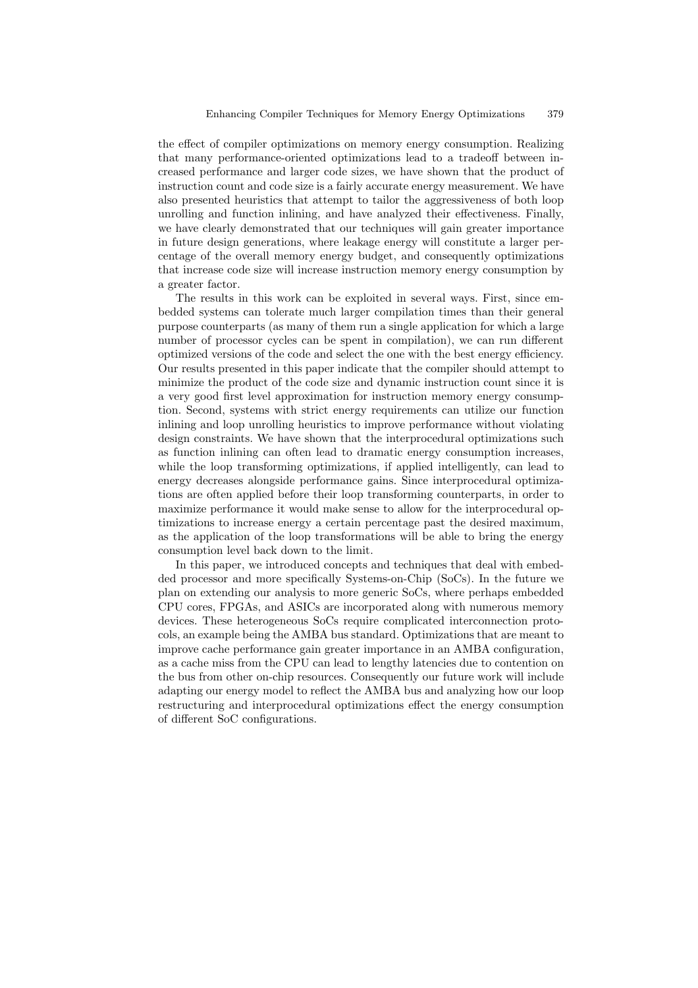the effect of compiler optimizations on memory energy consumption. Realizing that many performance-oriented optimizations lead to a tradeoff between increased performance and larger code sizes, we have shown that the product of instruction count and code size is a fairly accurate energy measurement. We have also presented heuristics that attempt to tailor the aggressiveness of both loop unrolling and function inlining, and have analyzed their effectiveness. Finally, we have clearly demonstrated that our techniques will gain greater importance in future design generations, where leakage energy will constitute a larger percentage of the overall memory energy budget, and consequently optimizations that increase code size will increase instruction memory energy consumption by a greater factor.

The results in this work can be exploited in several ways. First, since embedded systems can tolerate much larger compilation times than their general purpose counterparts (as many of them run a single application for which a large number of processor cycles can be spent in compilation), we can run different optimized versions of the code and select the one with the best energy efficiency. Our results presented in this paper indicate that the compiler should attempt to minimize the product of the code size and dynamic instruction count since it is a very good first level approximation for instruction memory energy consumption. Second, systems with strict energy requirements can utilize our function inlining and loop unrolling heuristics to improve performance without violating design constraints. We have shown that the interprocedural optimizations such as function inlining can often lead to dramatic energy consumption increases, while the loop transforming optimizations, if applied intelligently, can lead to energy decreases alongside performance gains. Since interprocedural optimizations are often applied before their loop transforming counterparts, in order to maximize performance it would make sense to allow for the interprocedural optimizations to increase energy a certain percentage past the desired maximum, as the application of the loop transformations will be able to bring the energy consumption level back down to the limit.

In this paper, we introduced concepts and techniques that deal with embedded processor and more specifically Systems-on-Chip (SoCs). In the future we plan on extending our analysis to more generic SoCs, where perhaps embedded CPU cores, FPGAs, and ASICs are incorporated along with numerous memory devices. These heterogeneous SoCs require complicated interconnection protocols, an example being the AMBA bus standard. Optimizations that are meant to improve cache performance gain greater importance in an AMBA configuration, as a cache miss from the CPU can lead to lengthy latencies due to contention on the bus from other on-chip resources. Consequently our future work will include adapting our energy model to reflect the AMBA bus and analyzing how our loop restructuring and interprocedural optimizations effect the energy consumption of different SoC configurations.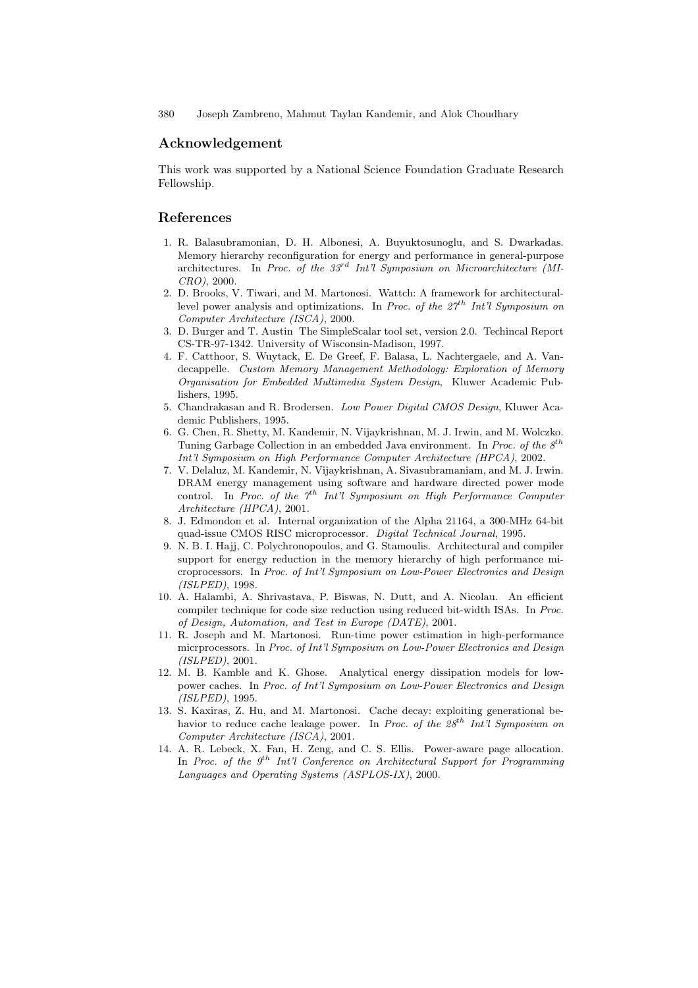# <span id="page-16-0"></span>**Acknowledgement**

This work was supported by a National Science Foundation Graduate Research Fellowship.

# **References**

- 1. R. Balasubramonian, D. H. Albonesi, A. Buyuktosunoglu, and S. Dwarkadas. Memory hierarchy reconfiguration for energy and performance in general-purpose architectures. In Proc. of the  $33<sup>rd</sup>$  Int'l Symposium on Microarchitecture (MI-CRO), 2000.
- 2. D. Brooks, V. Tiwari, and M. Martonosi. Wattch: A framework for architecturallevel power analysis and optimizations. In Proc. of the  $27<sup>th</sup>$  Int'l Symposium on Computer Architecture (ISCA), 2000.
- 3. D. Burger and T. Austin The SimpleScalar tool set, version 2.0. Techincal Report CS-TR-97-1342. University of Wisconsin-Madison, 1997.
- 4. F. Catthoor, S. Wuytack, E. De Greef, F. Balasa, L. Nachtergaele, and A. Vandecappelle. Custom Memory Management Methodology: Exploration of Memory Organisation for Embedded Multimedia System Design, Kluwer Academic Publishers, 1995.
- 5. Chandrakasan and R. Brodersen. Low Power Digital CMOS Design, Kluwer Academic Publishers, 1995.
- 6. G. Chen, R. Shetty, M. Kandemir, N. Vijaykrishnan, M. J. Irwin, and M. Wolczko. Tuning Garbage Collection in an embedded Java environment. In Proc. of the  $S^{th}$ Int'l Symposium on High Performance Computer Architecture (HPCA), 2002.
- 7. V. Delaluz, M. Kandemir, N. Vijaykrishnan, A. Sivasubramaniam, and M. J. Irwin. DRAM energy management using software and hardware directed power mode control. In Proc. of the  $\gamma^{th}$  Int'l Symposium on High Performance Computer Architecture (HPCA), 2001.
- 8. J. Edmondon et al. Internal organization of the Alpha 21164, a 300-MHz 64-bit quad-issue CMOS RISC microprocessor. Digital Technical Journal, 1995.
- 9. N. B. I. Hajj, C. Polychronopoulos, and G. Stamoulis. Architectural and compiler support for energy reduction in the memory hierarchy of high performance microprocessors. In Proc. of Int'l Symposium on Low-Power Electronics and Design (ISLPED), 1998.
- 10. A. Halambi, A. Shrivastava, P. Biswas, N. Dutt, and A. Nicolau. An efficient compiler technique for code size reduction using reduced bit-width ISAs. In Proc. of Design, Automation, and Test in Europe (DATE), 2001.
- 11. R. Joseph and M. Martonosi. Run-time power estimation in high-performance micrprocessors. In Proc. of Int'l Symposium on Low-Power Electronics and Design (ISLPED), 2001.
- 12. M. B. Kamble and K. Ghose. Analytical energy dissipation models for lowpower caches. In Proc. of Int'l Symposium on Low-Power Electronics and Design (ISLPED), 1995.
- 13. S. Kaxiras, Z. Hu, and M. Martonosi. Cache decay: exploiting generational behavior to reduce cache leakage power. In Proc. of the  $28^{th}$  Int'l Symposium on Computer Architecture (ISCA), 2001.
- 14. A. R. Lebeck, X. Fan, H. Zeng, and C. S. Ellis. Power-aware page allocation. In Proc. of the  $9<sup>th</sup>$  Int'l Conference on Architectural Support for Programming Languages and Operating Systems (ASPLOS-IX), 2000.